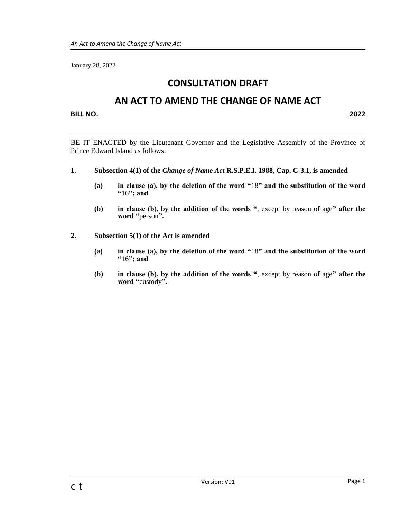January 28, 2022

## **CONSULTATION DRAFT**

## **AN ACT TO AMEND THE CHANGE OF NAME ACT**

**BILL NO. 2022**

BE IT ENACTED by the Lieutenant Governor and the Legislative Assembly of the Province of Prince Edward Island as follows:

- **1. Subsection 4(1) of the** *Change of Name Act* **R.S.P.E.I. 1988, Cap. C-3.1, is amended** 
	- **(a) in clause (a), by the deletion of the word "**18**" and the substitution of the word "**16**"; and**
	- **(b) in clause (b), by the addition of the words "**, except by reason of age**" after the word "**person**".**
- **2. Subsection 5(1) of the Act is amended**
	- **(a) in clause (a), by the deletion of the word "**18**" and the substitution of the word "**16**"; and**
	- **(b) in clause (b), by the addition of the words "**, except by reason of age**" after the word "**custody**".**